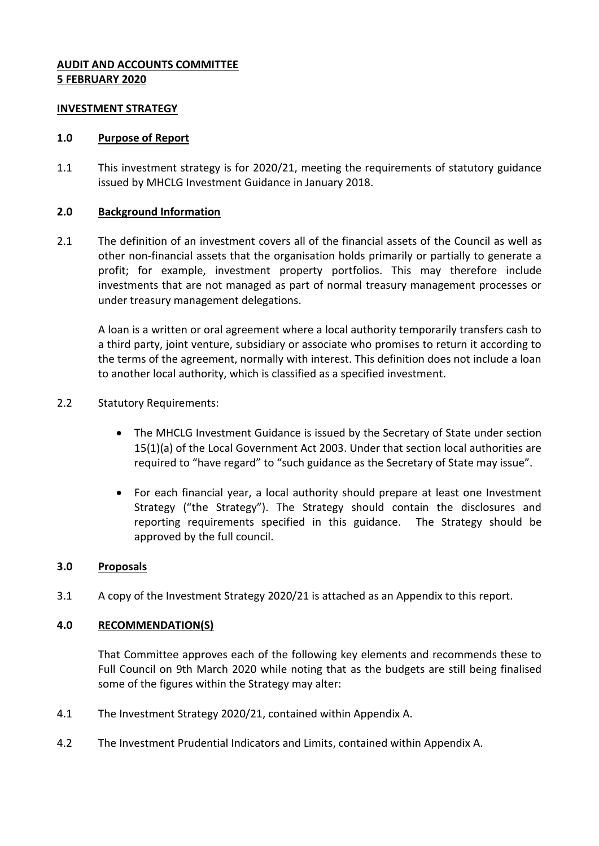# **AUDIT AND ACCOUNTS COMMITTEE 5 FEBRUARY 2020**

#### **INVESTMENT STRATEGY**

#### **1.0 Purpose of Report**

1.1 This investment strategy is for 2020/21, meeting the requirements of statutory guidance issued by MHCLG Investment Guidance in January 2018.

### **2.0 Background Information**

2.1 The definition of an investment covers all of the financial assets of the Council as well as other non-financial assets that the organisation holds primarily or partially to generate a profit; for example, investment property portfolios. This may therefore include investments that are not managed as part of normal treasury management processes or under treasury management delegations.

A loan is a written or oral agreement where a local authority temporarily transfers cash to a third party, joint venture, subsidiary or associate who promises to return it according to the terms of the agreement, normally with interest. This definition does not include a loan to another local authority, which is classified as a specified investment.

- 2.2 Statutory Requirements:
	- The MHCLG Investment Guidance is issued by the Secretary of State under section 15(1)(a) of the Local Government Act 2003. Under that section local authorities are required to "have regard" to "such guidance as the Secretary of State may issue".
	- For each financial year, a local authority should prepare at least one Investment Strategy ("the Strategy"). The Strategy should contain the disclosures and reporting requirements specified in this guidance. The Strategy should be approved by the full council.

### **3.0 Proposals**

3.1 A copy of the Investment Strategy 2020/21 is attached as an Appendix to this report.

### **4.0 RECOMMENDATION(S)**

That Committee approves each of the following key elements and recommends these to Full Council on 9th March 2020 while noting that as the budgets are still being finalised some of the figures within the Strategy may alter:

- 4.1 The Investment Strategy 2020/21, contained within Appendix A.
- 4.2 The Investment Prudential Indicators and Limits, contained within Appendix A.